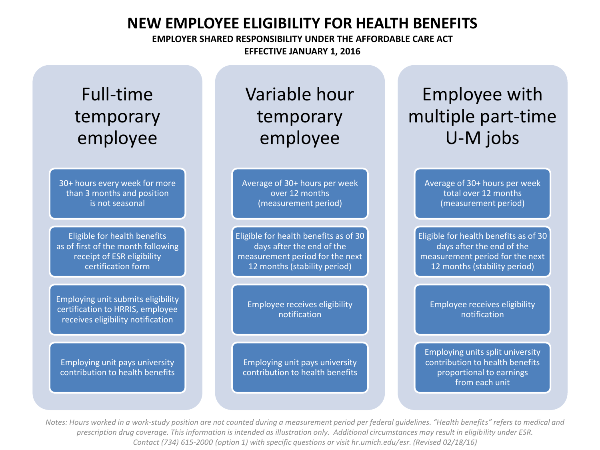#### **NEW EMPLOYEE ELIGIBILITY FOR HEALTH BENEFITS**

**EMPLOYER SHARED RESPONSIBILITY UNDER THE AFFORDABLE CARE ACT EFFECTIVE JANUARY 1, 2016**

## Full-time temporary employee

30+ hours every week for more than 3 months and position is not seasonal

Eligible for health benefits as of first of the month following receipt of ESR eligibility certification form

Employing unit submits eligibility certification to HRRIS, employee receives eligibility notification

Employing unit pays university contribution to health benefits

### Variable hour temporary employee

Average of 30+ hours per week over 12 months (measurement period)

Eligible for health benefits as of 30 days after the end of the measurement period for the next 12 months (stability period)

Employee receives eligibility notification

Employing unit pays university contribution to health benefits

# Employee with multiple part-time U-M jobs

Average of 30+ hours per week total over 12 months (measurement period)

Eligible for health benefits as of 30 days after the end of the measurement period for the next 12 months (stability period)

> Employee receives eligibility notification

Employing units split university contribution to health benefits proportional to earnings from each unit

*Notes: Hours worked in a work-study position are not counted during a measurement period per federal guidelines. "Health benefits" refers to medical and prescription drug coverage. This information is intended as illustration only. Additional circumstances may result in eligibility under ESR. Contact (734) 615-2000 (option 1) with specific questions or visit hr.umich.edu/esr. (Revised 02/18/16)*